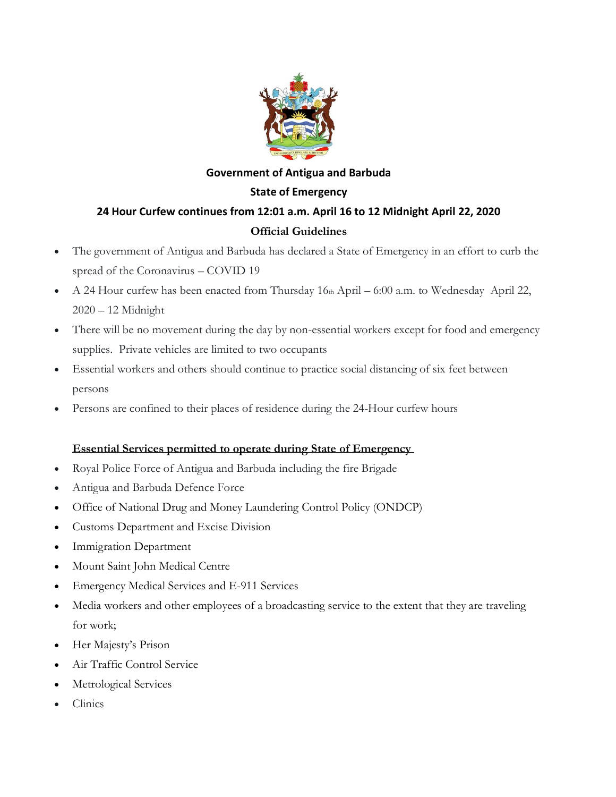

# **Government of Antigua and Barbuda State of Emergency 24 Hour Curfew continues from 12:01 a.m. April 16 to 12 Midnight April 22, 2020 Official Guidelines**

- The government of Antigua and Barbuda has declared a State of Emergency in an effort to curb the spread of the Coronavirus – COVID 19
- A 24 Hour curfew has been enacted from Thursday 16th April 6:00 a.m. to Wednesday April 22, 2020 – 12 Midnight
- There will be no movement during the day by non-essential workers except for food and emergency supplies. Private vehicles are limited to two occupants
- Essential workers and others should continue to practice social distancing of six feet between persons
- Persons are confined to their places of residence during the 24-Hour curfew hours

# **Essential Services permitted to operate during State of Emergency**

- Royal Police Force of Antigua and Barbuda including the fire Brigade
- Antigua and Barbuda Defence Force
- Office of National Drug and Money Laundering Control Policy (ONDCP)
- Customs Department and Excise Division
- **Immigration Department**
- Mount Saint John Medical Centre
- Emergency Medical Services and E-911 Services
- Media workers and other employees of a broadcasting service to the extent that they are traveling for work;
- Her Majesty's Prison
- Air Traffic Control Service
- Metrological Services
- Clinics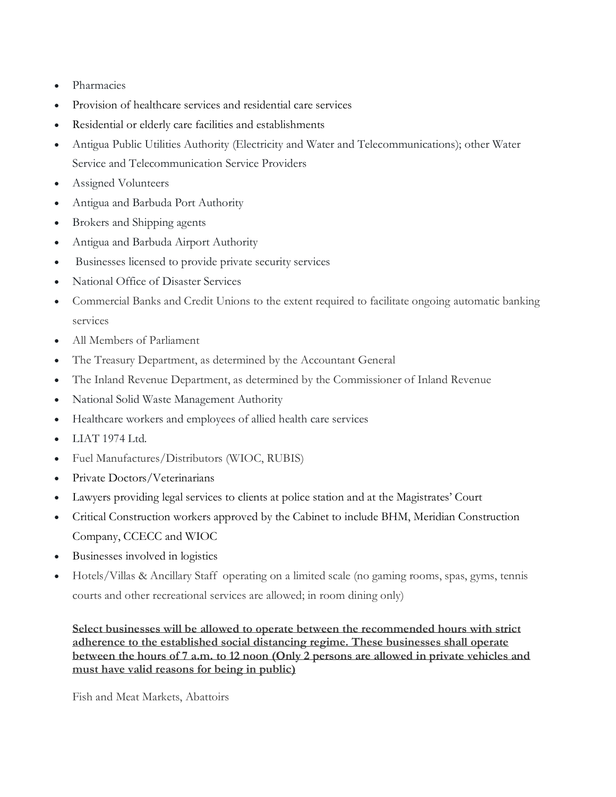- Pharmacies
- Provision of healthcare services and residential care services
- Residential or elderly care facilities and establishments
- Antigua Public Utilities Authority (Electricity and Water and Telecommunications); other Water Service and Telecommunication Service Providers
- Assigned Volunteers
- Antigua and Barbuda Port Authority
- Brokers and Shipping agents
- Antigua and Barbuda Airport Authority
- Businesses licensed to provide private security services
- National Office of Disaster Services
- Commercial Banks and Credit Unions to the extent required to facilitate ongoing automatic banking services
- All Members of Parliament
- The Treasury Department, as determined by the Accountant General
- The Inland Revenue Department, as determined by the Commissioner of Inland Revenue
- National Solid Waste Management Authority
- Healthcare workers and employees of allied health care services
- LIAT 1974 Ltd.
- Fuel Manufactures/Distributors (WIOC, RUBIS)
- Private Doctors/Veterinarians
- Lawyers providing legal services to clients at police station and at the Magistrates' Court
- Critical Construction workers approved by the Cabinet to include BHM, Meridian Construction Company, CCECC and WIOC
- Businesses involved in logistics
- Hotels/Villas & Ancillary Staff operating on a limited scale (no gaming rooms, spas, gyms, tennis courts and other recreational services are allowed; in room dining only)

**Select businesses will be allowed to operate between the recommended hours with strict adherence to the established social distancing regime. These businesses shall operate between the hours of 7 a.m. to 12 noon (Only 2 persons are allowed in private vehicles and must have valid reasons for being in public)**

Fish and Meat Markets, Abattoirs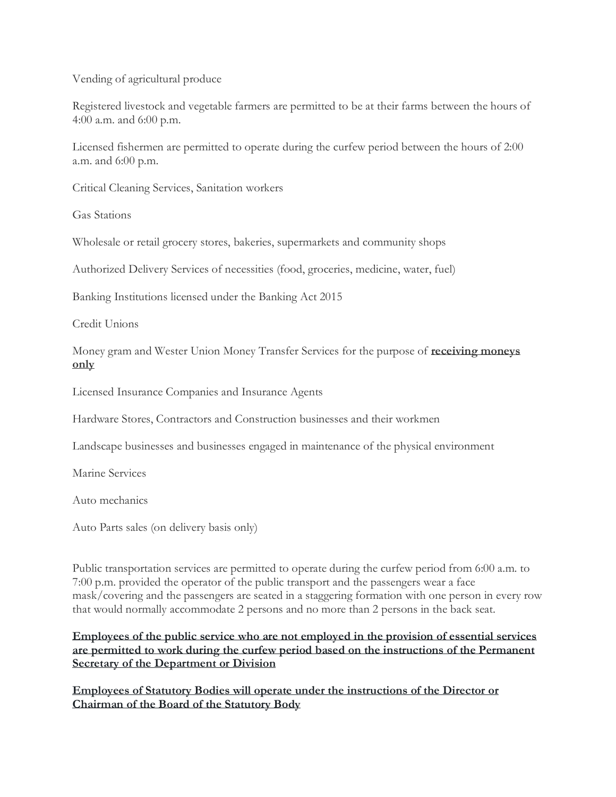Vending of agricultural produce

Registered livestock and vegetable farmers are permitted to be at their farms between the hours of 4:00 a.m. and 6:00 p.m.

Licensed fishermen are permitted to operate during the curfew period between the hours of 2:00 a.m. and 6:00 p.m.

Critical Cleaning Services, Sanitation workers

Gas Stations

Wholesale or retail grocery stores, bakeries, supermarkets and community shops

Authorized Delivery Services of necessities (food, groceries, medicine, water, fuel)

Banking Institutions licensed under the Banking Act 2015

Credit Unions

Money gram and Wester Union Money Transfer Services for the purpose of **receiving moneys only**

Licensed Insurance Companies and Insurance Agents

Hardware Stores, Contractors and Construction businesses and their workmen

Landscape businesses and businesses engaged in maintenance of the physical environment

Marine Services

Auto mechanics

Auto Parts sales (on delivery basis only)

Public transportation services are permitted to operate during the curfew period from 6:00 a.m. to 7:00 p.m. provided the operator of the public transport and the passengers wear a face mask/covering and the passengers are seated in a staggering formation with one person in every row that would normally accommodate 2 persons and no more than 2 persons in the back seat.

**Employees of the public service who are not employed in the provision of essential services are permitted to work during the curfew period based on the instructions of the Permanent Secretary of the Department or Division**

**Employees of Statutory Bodies will operate under the instructions of the Director or Chairman of the Board of the Statutory Body**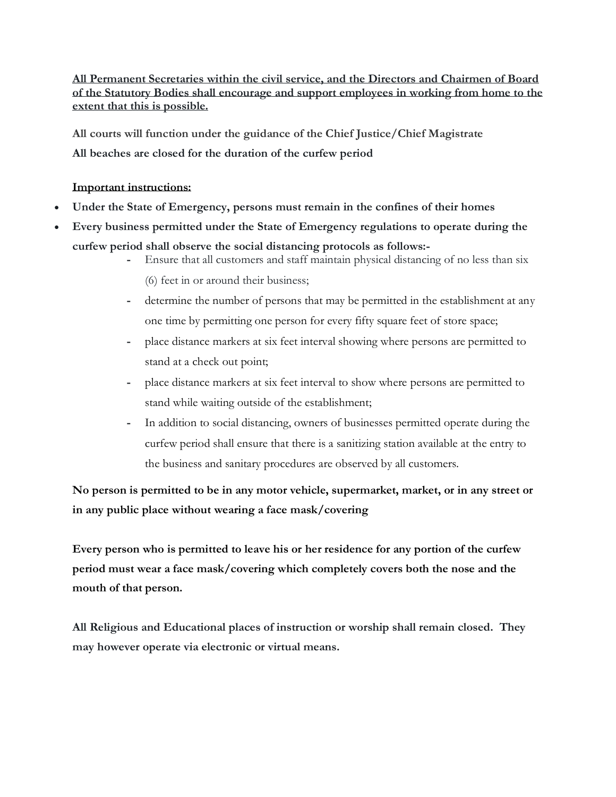**All Permanent Secretaries within the civil service, and the Directors and Chairmen of Board of the Statutory Bodies shall encourage and support employees in working from home to the extent that this is possible.**

**All courts will function under the guidance of the Chief Justice/Chief Magistrate All beaches are closed for the duration of the curfew period**

#### **Important instructions:**

- **Under the State of Emergency, persons must remain in the confines of their homes**
- **Every business permitted under the State of Emergency regulations to operate during the curfew period shall observe the social distancing protocols as follows:-**
	- **-** Ensure that all customers and staff maintain physical distancing of no less than six (6) feet in or around their business;
	-
	- **-** determine the number of persons that may be permitted in the establishment at any one time by permitting one person for every fifty square feet of store space;
	- **-** place distance markers at six feet interval showing where persons are permitted to stand at a check out point;
	- **-** place distance markers at six feet interval to show where persons are permitted to stand while waiting outside of the establishment;
	- **-** In addition to social distancing, owners of businesses permitted operate during the curfew period shall ensure that there is a sanitizing station available at the entry to the business and sanitary procedures are observed by all customers.

**No person is permitted to be in any motor vehicle, supermarket, market, or in any street or in any public place without wearing a face mask/covering** 

**Every person who is permitted to leave his or her residence for any portion of the curfew period must wear a face mask/covering which completely covers both the nose and the mouth of that person.**

**All Religious and Educational places of instruction or worship shall remain closed. They may however operate via electronic or virtual means.**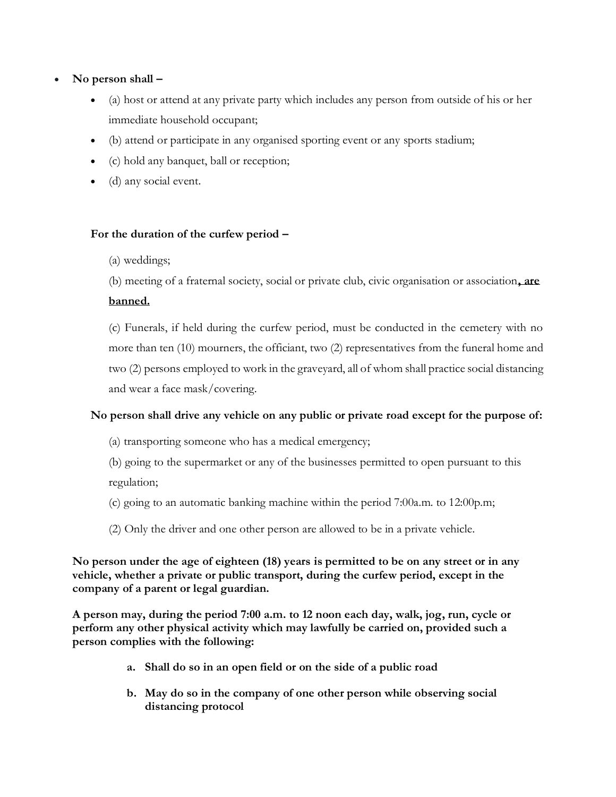## • **No person shall –**

- (a) host or attend at any private party which includes any person from outside of his or her immediate household occupant;
- (b) attend or participate in any organised sporting event or any sports stadium;
- (c) hold any banquet, ball or reception;
- (d) any social event.

## **For the duration of the curfew period –**

(a) weddings;

(b) meeting of a fraternal society, social or private club, civic organisation or association**, are** 

#### **banned.**

(c) Funerals, if held during the curfew period, must be conducted in the cemetery with no more than ten (10) mourners, the officiant, two (2) representatives from the funeral home and two (2) persons employed to work in the graveyard, all of whom shall practice social distancing and wear a face mask/covering.

# **No person shall drive any vehicle on any public or private road except for the purpose of:**

- (a) transporting someone who has a medical emergency;
- (b) going to the supermarket or any of the businesses permitted to open pursuant to this regulation;
- (c) going to an automatic banking machine within the period 7:00a.m. to 12:00p.m;
- (2) Only the driver and one other person are allowed to be in a private vehicle.

### **No person under the age of eighteen (18) years is permitted to be on any street or in any vehicle, whether a private or public transport, during the curfew period, except in the company of a parent or legal guardian.**

**A person may, during the period 7:00 a.m. to 12 noon each day, walk, jog, run, cycle or perform any other physical activity which may lawfully be carried on, provided such a person complies with the following:**

- **a. Shall do so in an open field or on the side of a public road**
- **b. May do so in the company of one other person while observing social distancing protocol**